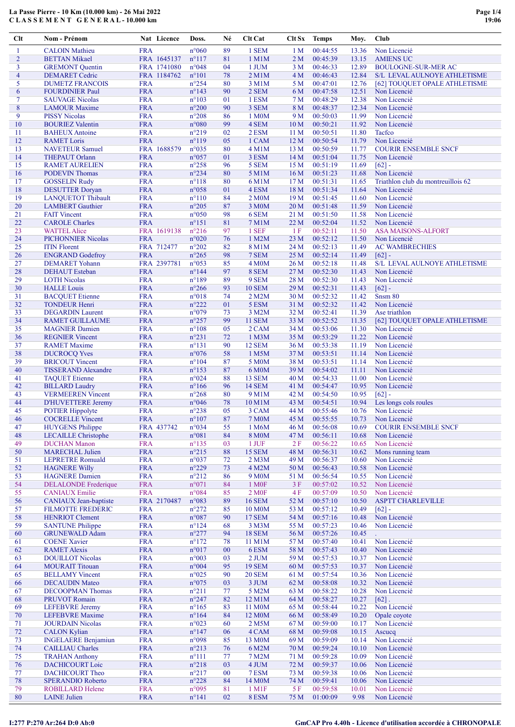| Clt                      | Nom - Prénom                                    | Nat Licence               | Doss.                            | Né       | Clt Cat             | Clt Sx                 | <b>Temps</b>         | Moy.           | Club                                        |
|--------------------------|-------------------------------------------------|---------------------------|----------------------------------|----------|---------------------|------------------------|----------------------|----------------|---------------------------------------------|
| 1                        | <b>CALOIN Mathieu</b>                           | <b>FRA</b>                | $n^{\circ}060$                   | 89       | 1 SEM               | 1 <sub>M</sub>         | 00:44:55             | 13.36          | Non Licencié                                |
| $\overline{c}$           | <b>BETTAN Mikael</b>                            | FRA 1645137               | $n^{\circ}117$                   | 81       | 1 M1M               | 2 <sub>M</sub>         | 00:45:39             | 13.15          | <b>AMIENS UC</b>                            |
| 3                        | <b>GREMONT Quentin</b>                          | FRA 1741080               | n°048                            | 04       | 1 JUM               | 3 M                    | 00:46:33             | 12.89          | <b>BOULOGNE-SUR-MER AC</b>                  |
| $\overline{\mathcal{A}}$ | <b>DEMARET Cedric</b>                           | FRA 1184762               | $n^{\circ}101$                   | 78       | $2$ M $1$ M         | 4M                     | 00:46:43             | 12.84          | <b>S/L LEVAL AULNOYE ATHLETISME</b>         |
| 5                        | <b>DUMETZ FRANCOIS</b>                          | <b>FRA</b>                | $n^{\circ}254$                   | 80       | 3 M1M               | 5 M                    | 00:47:01             | 12.76          | [62] TOUQUET OPALE ATHLETISME               |
| 6                        | <b>FOURDINIER Paul</b>                          | <b>FRA</b>                | $n^{\circ}143$                   | 90       | 2 SEM               | 6 M                    | 00:47:58             | 12.51          | Non Licencié                                |
| 7                        | <b>SAUVAGE Nicolas</b>                          | <b>FRA</b>                | $n^{\circ}103$                   | 01       | 1 ESM               | 7 <sub>M</sub>         | 00:48:29             | 12.38          | Non Licencié                                |
| 8                        | <b>LAMOUR Maxime</b>                            | <b>FRA</b>                | $n^{\circ}200$                   | 90       | 3 SEM               | 8 M                    | 00:48:37             | 12.34          | Non Licencié                                |
| 9                        | <b>PISSY Nicolas</b>                            | <b>FRA</b>                | $n^{\circ}208$                   | 86       | 1 M0M               | 9 M                    | 00:50:03             | 11.99          | Non Licencié                                |
| 10                       | <b>BOURIEZ Valentin</b>                         | <b>FRA</b>                | $n^{\circ}080$                   | 99       | 4 SEM               | 10 <sub>M</sub>        | 00:50:21             | 11.92          | Non Licencié                                |
| 11                       | <b>BAHEUX</b> Antoine                           | <b>FRA</b>                | $n^{\circ}219$                   | 02       | 2 ESM               | 11 <sub>M</sub>        | 00:50:51             | 11.80          | Tacfco                                      |
| 12                       | <b>RAMET</b> Loris                              | <b>FRA</b>                | $n^{\circ}119$                   | 05       | 1 CAM               | 12M                    | 00:50:54             | 11.79          | Non Licencié                                |
| 13<br>14                 | <b>NAVETEUR Samuel</b><br><b>THEPAUT Orlann</b> | FRA 1688579<br><b>FRA</b> | n°035<br>$n^{\circ}057$          | 80<br>01 | 4 M1M<br>3 ESM      | 13 <sub>M</sub><br>14M | 00:50:59<br>00:51:04 | 11.77<br>11.75 | <b>COURIR ENSEMBLE SNCF</b><br>Non Licencié |
| 15                       | <b>RAMET AURELIEN</b>                           | <b>FRA</b>                | $n^{\circ}258$                   | 96       | 5 SEM               | 15 M                   | 00:51:19             | 11.69          | $[62] -$                                    |
| 16                       | <b>PODEVIN Thomas</b>                           | <b>FRA</b>                | $n^{\circ}234$                   | 80       | 5 M1M               | 16 <sub>M</sub>        | 00:51:23             | 11.68          | Non Licencié                                |
| 17                       | <b>GOSSELIN Rudy</b>                            | <b>FRA</b>                | $n^{\circ}118$                   | 80       | 6 M1M               | 17 <sub>M</sub>        | 00:51:31             | 11.65          | Triathlon club du montreuillois 62          |
| 18                       | <b>DESUTTER Doryan</b>                          | <b>FRA</b>                | n°058                            | 01       | 4 ESM               | 18 M                   | 00:51:34             | 11.64          | Non Licencié                                |
| 19                       | <b>LANQUETOT Thibault</b>                       | <b>FRA</b>                | $n^{\circ}110$                   | 84       | 2 M0M               | 19 <sub>M</sub>        | 00:51:45             | 11.60          | Non Licencié                                |
| 20                       | <b>LAMBERT</b> Gauthier                         | <b>FRA</b>                | $n^{\circ}205$                   | 87       | 3 M <sub>0</sub> M  | 20 <sub>M</sub>        | 00:51:48             | 11.59          | Non Licencié                                |
| 21                       | <b>FAIT Vincent</b>                             | <b>FRA</b>                | $n^{\circ}050$                   | 98       | 6 SEM               | 21 M                   | 00:51:50             | 11.58          | Non Licencié                                |
| 22                       | <b>CAROLE Charles</b>                           | <b>FRA</b>                | $n^{\circ}151$                   | 81       | 7 M1M               | 22 M                   | 00:52:04             | 11.52          | Non Licencié                                |
| 23                       | <b>WATTEL Alice</b>                             | FRA 1619138               | $n^{\circ}216$                   | 97       | 1 SEF               | 1F                     | 00:52:11             | 11.50          | <b>ASA MAISONS-ALFORT</b>                   |
| 24                       | <b>PICHONNIER Nicolas</b>                       | <b>FRA</b>                | n°020                            | 76       | 1 M2M               | 23 M                   | 00:52:12             | 11.50          | Non Licencié                                |
| 25                       | <b>ITIN</b> Florent                             | FRA 712477                | $n^{\circ}202$                   | 82       | 8 M1M               | 24 M                   | 00:52:13             | 11.49          | <b>AC WAMBRECHIES</b>                       |
| 26                       | <b>ENGRAND Godefroy</b>                         | <b>FRA</b>                | $n^{\circ}265$                   | 98       | 7 SEM               | 25 M                   | 00:52:14             | 11.49          | $[62]$ -                                    |
| 27                       | <b>DEMARET</b> Yohann                           | FRA 2397781               | $n^{\circ}053$                   | 85       | 4 M <sub>0</sub> M  | 26 M                   | 00:52:18             | 11.48          | S/L LEVAL AULNOYE ATHLETISME                |
| 28                       | <b>DEHAUT</b> Esteban                           | <b>FRA</b>                | $n^{\circ}$ 144                  | 97       | 8 SEM               | 27 M                   | 00:52:30             | 11.43          | Non Licencié                                |
| 29                       | <b>LOTH Nicolas</b>                             | <b>FRA</b>                | $n^{\circ}189$                   | 89       | 9 SEM               | 28 M                   | 00:52:30             | 11.43          | Non Licencié                                |
| 30                       | <b>HALLE</b> Louis                              | <b>FRA</b>                | $n^{\circ}266$                   | 93       | <b>10 SEM</b>       | 29 M                   | 00:52:31             | 11.43          | $[62]$ -                                    |
| 31                       | <b>BACQUET</b> Etienne                          | <b>FRA</b>                | $n^{\circ}018$                   | 74       | 2 M2M               | 30 M                   | 00:52:32             | 11.42          | Snsm 80                                     |
| 32                       | <b>TONDEUR Henri</b>                            | <b>FRA</b>                | $n^{\circ}222$                   | 01       | 5 ESM               | 31 M                   | 00:52:32             | 11.42          | Non Licencié                                |
| 33                       | <b>DEGARDIN</b> Laurent                         | <b>FRA</b>                | n°079                            | 73       | 3 M2M               | 32 M                   | 00:52:41             | 11.39          | Ase triathlon                               |
| 34                       | <b>RAMET GUILLAUME</b>                          | <b>FRA</b>                | $n^{\circ}257$                   | 99       | <b>11 SEM</b>       | 33 M                   | 00:52:52             | 11.35          | [62] TOUQUET OPALE ATHLETISME               |
| 35                       | <b>MAGNIER Damien</b>                           | <b>FRA</b>                | $n^{\circ}108$                   | 05       | 2 CAM               | 34 M                   | 00:53:06             | 11.30          | Non Licencié                                |
| 36                       | <b>REGNIER Vincent</b>                          | <b>FRA</b>                | $n^{\circ}231$                   | 72       | 1 M <sub>3</sub> M  | 35 M                   | 00:53:29             | 11.22          | Non Licencié                                |
| 37                       | <b>RAMET Maxime</b>                             | <b>FRA</b>                | $n^{\circ}131$                   | 90       | <b>12 SEM</b>       | 36 M                   | 00:53:38             | 11.19          | Non Licencié                                |
| 38                       | <b>DUCROCQ Yves</b>                             | <b>FRA</b>                | $n^{\circ}076$                   | 58       | 1 M5M               | 37 M                   | 00:53:51             | 11.14          | Non Licencié                                |
| 39                       | <b>BRICOUT Vincent</b>                          | <b>FRA</b>                | $n^{\circ}104$                   | 87       | 5 M <sub>0</sub> M  | 38 M                   | 00:53:51             | 11.14          | Non Licencié<br>Non Licencié                |
| 40<br>41                 | <b>TISSERAND Alexandre</b>                      | <b>FRA</b><br><b>FRA</b>  | $n^{\circ}153$<br>$n^{\circ}024$ | 87<br>88 | 6 M0M<br>13 SEM     | 39 M<br>40 M           | 00:54:02<br>00:54:33 | 11.11<br>11.00 | Non Licencié                                |
| 42                       | <b>TAQUET</b> Etienne<br><b>BILLARD Laudry</b>  | <b>FRA</b>                | $n^{\circ}166$                   | 96       | <b>14 SEM</b>       | 41 M                   | 00:54:47             | 10.95          | Non Licencié                                |
| 43                       | <b>VERMEEREN Vincent</b>                        | <b>FRA</b>                | $n^{\circ}268$                   | 80       | 9 M1M               | 42 M                   | 00:54:50             | 10.95          | $[62] -$                                    |
| 44                       | <b>D'HUVETTERE Jeremy</b>                       | <b>FRA</b>                | n°046                            | 78       | 10 M1M              | 43 M                   | 00:54:51             | 10.94          | Les longs cols roules                       |
| 45                       | <b>POTIER Hippolyte</b>                         | <b>FRA</b>                | $n^{\circ}238$                   | 05       | 3 CAM               | 44 M                   | 00:55:46             | 10.76          | Non Licencié                                |
| 46                       | <b>COCRELLE Vincent</b>                         | <b>FRA</b>                | $n^{\circ}107$                   | 87       | <b>7 M0M</b>        | 45 M                   | 00:55:55             | 10.73          | Non Licencié                                |
| 47                       | <b>HUYGENS Philippe</b>                         | FRA 437742                | n°034                            | 55       | 1 M6M               | 46 M                   | 00:56:08             | 10.69          | <b>COURIR ENSEMBLE SNCF</b>                 |
| 48                       | <b>LECAILLE Christophe</b>                      | <b>FRA</b>                | n°081                            | 84       | <b>8 M0M</b>        | 47 M                   | 00:56:11             | 10.68          | Non Licencié                                |
| 49                       | <b>DUCHAN Manon</b>                             | <b>FRA</b>                | $n^{\circ}$ 135                  | 03       | 1 JUF               | 2F                     | 00:56:22             | 10.65          | Non Licencié                                |
| 50                       | <b>MARECHAL Julien</b>                          | <b>FRA</b>                | $n^{\circ}215$                   | 88       | <b>15 SEM</b>       | 48 M                   | 00:56:31             | 10.62          | Mons running team                           |
| 51                       | <b>LEPRETRE Romuald</b>                         | <b>FRA</b>                | $n^{\circ}037$                   | 72       | 2 M3M               | 49 M                   | 00:56:37             | 10.60          | Non Licencié                                |
| 52                       | <b>HAGNERE Willy</b>                            | <b>FRA</b>                | $n^{\circ}229$                   | 73       | 4 M2M               | 50 M                   | 00:56:43             | 10.58          | Non Licencié                                |
| 53                       | <b>HAGNERE Damien</b>                           | <b>FRA</b>                | $n^{\circ}212$                   | 86       | 9 M <sub>0</sub> M  | 51 M                   | 00:56:54             | 10.55          | Non Licencié                                |
| 54                       | <b>DELALONDE</b> Frederique                     | <b>FRA</b>                | n°071                            | 84       | 1 M <sub>OF</sub>   | 3F                     | 00:57:02             | 10.52          | Non Licencié                                |
| 55                       | <b>CANIAUX</b> Emilie                           | <b>FRA</b>                | n°084                            | 85       | 2 M <sub>OF</sub>   | 4F                     | 00:57:09             | 10.50          | Non Licencié                                |
| 56                       | <b>CANIAUX</b> Jean-baptiste                    | FRA 2170487               | n°083                            | 89       | <b>16 SEM</b>       | 52 M                   | 00:57:10             | 10.50          | ASPTT CHARLEVILLE                           |
| 57                       | <b>FILMOTTE FREDERIC</b>                        | <b>FRA</b>                | $n^{\circ}272$                   | 85       | 10 M0M              | 53 M                   | 00:57:12             | 10.49          | $\overline{[62]}$ -                         |
| 58                       | <b>HENRIOT Clement</b>                          | <b>FRA</b>                | n°087                            | 90       | <b>17 SEM</b>       | 54 M                   | 00:57:16             | 10.48          | Non Licencié                                |
| 59                       | <b>SANTUNE Philippe</b>                         | <b>FRA</b>                | $n^{\circ}124$                   | 68       | 3 M3M               | 55 M                   | 00:57:23             | 10.46          | Non Licencié                                |
| 60                       | <b>GRUNEWALD Adam</b>                           | <b>FRA</b>                | $n^{\circ}277$                   | 94       | <b>18 SEM</b>       | 56 M                   | 00:57:26             | 10.45          |                                             |
| 61<br>62                 | <b>COENE Xavier</b><br><b>RAMET Alexis</b>      | <b>FRA</b><br><b>FRA</b>  | $n^{\circ}172$<br>n°017          | 78<br>00 | 11 M1M<br>6ESM      | 57 M<br>58 M           | 00:57:40<br>00:57:43 | 10.41<br>10.40 | Non Licencié<br>Non Licencié                |
| 63                       | <b>DOUILLOT Nicolas</b>                         | <b>FRA</b>                | n°003                            | 03       | $2$ JUM             | 59 M                   | 00:57:53             | 10.37          | Non Licencié                                |
| 64                       | <b>MOURAIT Titouan</b>                          | <b>FRA</b>                | $n^{\circ}004$                   | 95       | <b>19 SEM</b>       | 60 M                   | 00:57:53             | 10.37          | Non Licencié                                |
| 65                       | <b>BELLAMY</b> Vincent                          | <b>FRA</b>                | $n^{\circ}025$                   | 90       | <b>20 SEM</b>       | 61 M                   | 00:57:54             | 10.36          | Non Licencié                                |
| 66                       | <b>DECAUDIN Mateo</b>                           | <b>FRA</b>                | n°075                            | 03       | 3 JUM               | 62 M                   | 00:58:08             | 10.32          | Non Licencié                                |
| 67                       | <b>DECOOPMAN Thomas</b>                         | <b>FRA</b>                | $n^{\circ}211$                   | 77       | 5 M2M               | 63 M                   | 00:58:22             | 10.28          | Non Licencié                                |
| 68                       | <b>PRUVOT Romain</b>                            | <b>FRA</b>                | $n^{\circ}247$                   | 82       | 12 M1M              | 64 M                   | 00:58:27             | 10.27          | $[62]$ .                                    |
| 69                       | <b>LEFEBVRE</b> Jeremy                          | <b>FRA</b>                | $n^{\circ}165$                   | 83       | 11 M0M              | 65 M                   | 00:58:44             | 10.22          | Non Licencié                                |
| 70                       | <b>LEFEBVRE</b> Maxime                          | <b>FRA</b>                | $n^{\circ}164$                   | 84       | 12 M <sub>0</sub> M | 66 M                   | 00:58:49             | 10.20          | Opale coyote                                |
| 71                       | <b>JOURDAIN Nicolas</b>                         | <b>FRA</b>                | n°023                            | 60       | 2 M5M               | 67 M                   | 00:59:00             | 10.17          | Non Licencié                                |
| 72                       | <b>CALON Kylian</b>                             | <b>FRA</b>                | $n^{\circ}$ 147                  | 06       | 4 CAM               | 68 M                   | 00:59:08             | 10.15          | Ascucq                                      |
| 73                       | <b>INGELAERE Benjamiun</b>                      | <b>FRA</b>                | n°098                            | 85       | 13 M0M              | 69 M                   | 00:59:09             | 10.14          | Non Licencié                                |
| 74                       | <b>CAILLIAU Charles</b>                         | <b>FRA</b>                | $n^{\circ}213$                   | 76       | 6 M2M               | 70 M                   | 00:59:24             | 10.10          | Non Licencié                                |
| 75                       | <b>TRAHAN Anthony</b>                           | <b>FRA</b>                | $n^{\circ}111$                   | 77       | 7 M2M               | 71 M                   | 00:59:28             | 10.09          | Non Licencié                                |
| 76                       | <b>DACHICOURT Loic</b>                          | <b>FRA</b>                | $n^{\circ}218$                   | 03       | 4 JUM               | 72 M                   | 00:59:37             | 10.06          | Non Licencié                                |
| 77                       | <b>DACHICOURT Theo</b>                          | <b>FRA</b>                | $n^{\circ}217$                   | 00       | 7 ESM               | 73 M                   | 00:59:38             | 10.06          | Non Licencié                                |
| 78                       | <b>SPERANDIO Roberto</b>                        | <b>FRA</b>                | $n^{\circ}228$                   | 84       | 14 M0M              | 74 M                   | 00:59:41             | 10.06          | Non Licencié                                |
| 79                       | ROBILLARD Helene                                | <b>FRA</b>                | n°095                            | 81       | 1 M1F               | 5F                     | 00:59:58             | 10.01          | Non Licencié                                |
| 80                       | <b>LAINE</b> Julien                             | <b>FRA</b>                | $n^{\circ}141$                   | 02       | 8 ESM               | 75 M                   | 01:00:09             | 9.98           | Non Licencié                                |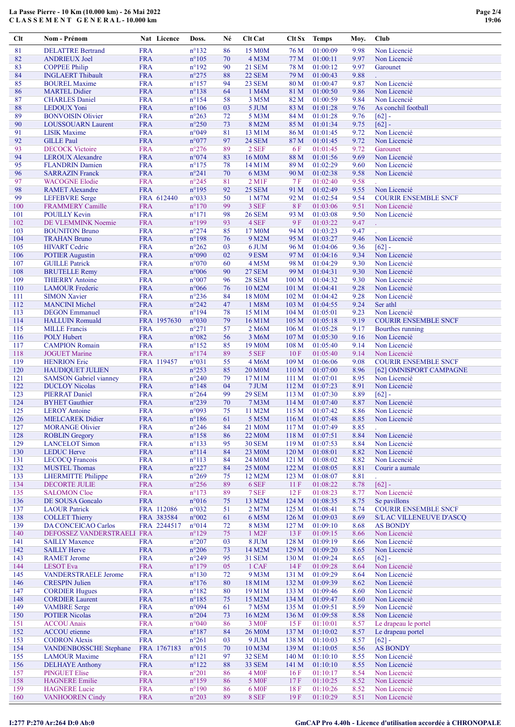| Clt        | Nom - Prénom                                             |                          | Nat Licence | Doss.                            | Né       | Clt Cat                        | Clt Sx           | <b>Temps</b>         | Moy.         | Club                            |
|------------|----------------------------------------------------------|--------------------------|-------------|----------------------------------|----------|--------------------------------|------------------|----------------------|--------------|---------------------------------|
| 81         | <b>DELATTRE Bertrand</b>                                 | <b>FRA</b>               |             | $n^{\circ}132$                   | 86       | 15 M <sub>0</sub> M            | 76 M             | 01:00:09             | 9.98         | Non Licencié                    |
| 82         | <b>ANDRIEUX Joel</b>                                     | <b>FRA</b>               |             | $n^{\circ}105$                   | 70       | 4 M3M                          | 77 M             | 01:00:11             | 9.97         | Non Licencié                    |
| 83         | <b>COPPEE Philip</b>                                     | <b>FRA</b>               |             | $n^{\circ}192$                   | 90       | <b>21 SEM</b>                  | 78 M             | 01:00:12             | 9.97         | Garounet                        |
| 84         | <b>INGLAERT Thibault</b>                                 | <b>FRA</b>               |             | $n^{\circ}275$                   | 88       | <b>22 SEM</b>                  | 79 M             | 01:00:43             | 9.88         |                                 |
| 85         | <b>BOUREL Maxime</b>                                     | <b>FRA</b>               |             | $n^{\circ}157$                   | 94       | 23 SEM                         | 80 M             | 01:00:47             | 9.87         | Non Licencié                    |
| 86         | <b>MARTEL Didier</b>                                     | <b>FRA</b>               |             | $n^{\circ}138$                   | 64       | 1 M4M                          | 81 M             | 01:00:50             | 9.86         | Non Licencié                    |
| 87         | <b>CHARLES</b> Daniel                                    | <b>FRA</b>               |             | $n^{\circ}154$                   | 58       | 3 M5M                          | 82 M             | 01:00:59             | 9.84         | Non Licencié                    |
| 88         | <b>LEDOUX</b> Yoni                                       | <b>FRA</b>               |             | $n^{\circ}106$                   | 03       | 5 JUM                          | 83 M             | 01:01:28             | 9.76         | As conchil football             |
| 89         | <b>BONVOISIN Olivier</b>                                 | <b>FRA</b>               |             | $n^{\circ}263$                   | 72       | 5 M3M                          | 84 M             | 01:01:28             | 9.76         | $[62] -$                        |
| 90         | <b>LOUSSOUARN Laurent</b>                                | <b>FRA</b>               |             | $n^{\circ}250$                   | 73       | 8 M2M                          | 85 M             | 01:01:34             | 9.75         | $[62] -$                        |
| 91         | <b>LISIK Maxime</b>                                      | <b>FRA</b>               |             | n°049                            | 81       | 13 M1M                         | 86 M             | 01:01:45             | 9.72<br>9.72 | Non Licencié                    |
| 92<br>93   | <b>GILLE Paul</b><br><b>DECOCK Victoire</b>              | <b>FRA</b><br><b>FRA</b> |             | n°077<br>$n^{\circ}276$          | 97<br>89 | 24 SEM<br>2 SEF                | 87 M<br>6 F      | 01:01:45<br>01:01:45 | 9.72         | Non Licencié<br>Garounet        |
| 94         | <b>LEROUX Alexandre</b>                                  | <b>FRA</b>               |             | n°074                            | 83       | 16 M <sub>0</sub> M            | 88 M             | 01:01:56             | 9.69         | Non Licencié                    |
| 95         | <b>FLANDRIN</b> Damien                                   | <b>FRA</b>               |             | $n^{\circ}175$                   | 78       | 14 M1M                         | 89 M             | 01:02:29             | 9.60         | Non Licencié                    |
| 96         | <b>SARRAZIN Franck</b>                                   | <b>FRA</b>               |             | $n^{\circ}241$                   | 70       | 6 M3M                          | 90 M             | 01:02:38             | 9.58         | Non Licencié                    |
| 97         | <b>WACOGNE Elodie</b>                                    | <b>FRA</b>               |             | $n^{\circ}245$                   | 81       | $2$ M <sub>1</sub> $F$         | 7 F              | 01:02:40             | 9.58         |                                 |
| 98         | <b>RAMET Alexandre</b>                                   | <b>FRA</b>               |             | $n^{\circ}195$                   | 92       | <b>25 SEM</b>                  | 91 M             | 01:02:49             | 9.55         | Non Licencié                    |
| 99         | <b>LEFEBVRE</b> Serge                                    |                          | FRA 612440  | n°033                            | 50       | 1 M7M                          | 92 M             | 01:02:54             | 9.54         | <b>COURIR ENSEMBLE SNCF</b>     |
| 100        | <b>FRAMMERY Camille</b>                                  | <b>FRA</b>               |             | $n^{\circ}170$                   | 99       | 3 SEF                          | <b>8F</b>        | 01:03:06             | 9.51         | Non Licencié                    |
| 101        | <b>POUILLY Kevin</b>                                     | <b>FRA</b>               |             | $n^{\circ}171$                   | 98       | <b>26 SEM</b>                  | 93 M             | 01:03:08             | 9.50         | Non Licencié                    |
| 102        | DE VLEMMINK Noemie                                       | <b>FRA</b>               |             | $n^{\circ}199$                   | 93       | 4 SEF                          | 9F               | 01:03:22             | 9.47         |                                 |
| 103        | <b>BOUNITON Bruno</b>                                    | <b>FRA</b>               |             | $n^{\circ}274$                   | 85       | 17 M0M                         | 94 M             | 01:03:23             | 9.47         |                                 |
| 104        | <b>TRAHAN Bruno</b>                                      | <b>FRA</b>               |             | $n^{\circ}198$                   | 76       | 9 M2M                          | 95 M             | 01:03:27             | 9.46         | Non Licencié                    |
| 105        | <b>HIVART</b> Cedric                                     | <b>FRA</b>               |             | $n^{\circ}262$                   | 03       | 6 JUM                          | 96 M             | 01:04:06             | 9.36         | $[62] -$                        |
| 106        | <b>POTIER Augustin</b>                                   | <b>FRA</b>               |             | n°090                            | 02       | 9 ESM                          | 97 M             | 01:04:16             | 9.34         | Non Licencié                    |
| 107        | <b>GUILLE Patrick</b>                                    | <b>FRA</b>               |             | n°070                            | 60       | 4 M <sub>5</sub> M             | 98 M             | 01:04:29             | 9.30         | Non Licencié                    |
| 108<br>109 | <b>BRUTELLE Remy</b><br><b>THIERRY Antoine</b>           | <b>FRA</b><br><b>FRA</b> |             | $n^{\circ}006$<br>$n^{\circ}007$ | 90<br>96 | <b>27 SEM</b><br><b>28 SEM</b> | 99 M<br>100 M    | 01:04:31<br>01:04:32 | 9.30<br>9.30 | Non Licencié<br>Non Licencié    |
| 110        | <b>LAMOUR Frederic</b>                                   | <b>FRA</b>               |             | $n^{\circ}066$                   | 76       | 10 M2M                         | 101 <sub>M</sub> | 01:04:41             | 9.28         | Non Licencié                    |
| 111        | <b>SIMON Xavier</b>                                      | <b>FRA</b>               |             | $n^{\circ}236$                   | 84       | 18 M0M                         | 102 <sub>M</sub> | 01:04:42             | 9.28         | Non Licencié                    |
| 112        | <b>MANCINI</b> Michel                                    | <b>FRA</b>               |             | $n^{\circ}242$                   | 47       | 1 M8M                          | 103 <sub>M</sub> | 01:04:55             | 9.24         | Ser athl                        |
| 113        | <b>DEGON</b> Emmanuel                                    | <b>FRA</b>               |             | $n^{\circ}194$                   | 78       | 15 M1M                         | 104 <sub>M</sub> | 01:05:01             | 9.23         | Non Licencié                    |
| 114        | <b>HALLUIN Romuald</b>                                   |                          | FRA 1957630 | $n^{\circ}030$                   | 79       | 16 M1M                         | 105 M            | 01:05:18             | 9.19         | <b>COURIR ENSEMBLE SNCF</b>     |
| 115        | <b>MILLE Francis</b>                                     | <b>FRA</b>               |             | $n^{\circ}271$                   | 57       | 2 M6M                          | 106 M            | 01:05:28             | 9.17         | <b>Bourthes running</b>         |
| 116        | <b>POLY Hubert</b>                                       | <b>FRA</b>               |             | n°082                            | 56       | 3 M6M                          | 107 M            | 01:05:30             | 9.16         | Non Licencié                    |
| 117        | <b>CAMPION Romain</b>                                    | <b>FRA</b>               |             | $n^{\circ}152$                   | 85       | 19 M <sub>0</sub> M            | 108 M            | 01:05:40             | 9.14         | Non Licencié                    |
| 118        | <b>JOGUET Marine</b>                                     | <b>FRA</b>               |             | $n^{\circ}174$                   | 89       | 5 SEF                          | 10F              | 01:05:40             | 9.14         | Non Licencié                    |
| 119        | <b>HENRION</b> Eric                                      |                          | FRA 119457  | n°031                            | 55       | 4 M6M                          | 109 M            | 01:06:06             | 9.08         | <b>COURIR ENSEMBLE SNCF</b>     |
| 120        | <b>HAUDIQUET JULIEN</b>                                  | <b>FRA</b>               |             | $n^{\circ}253$                   | 85       | 20 M <sub>0</sub> M            | 110 <sub>M</sub> | 01:07:00             | 8.96         | [62] OMNISPORT CAMPAGNE         |
| 121        | <b>SAMSON</b> Gabriel vianney                            | <b>FRA</b>               |             | $n^{\circ}240$                   | 79       | 17 M1M                         | 111M             | 01:07:01             | 8.95         | Non Licencié                    |
| 122        | <b>DUCLOY Nicolas</b>                                    | <b>FRA</b>               |             | $n^{\circ}$ 148                  | 04       | 7 JUM                          | 112 M            | 01:07:23             | 8.91         | Non Licencié                    |
| 123        | <b>PIERRAT Daniel</b>                                    | <b>FRA</b>               |             | $n^{\circ}264$                   | 99       | <b>29 SEM</b>                  | 113 M            | 01:07:30             | 8.89         | $[62] -$<br>Non Licencié        |
| 124        | <b>BYHET</b> Gauthier                                    | <b>FRA</b>               |             | $n^{\circ}239$                   | 70       | 7 M3M                          | 114M             | 01:07:40             | 8.87         |                                 |
| 125<br>126 | <b>LEROY Antoine</b><br><b>MIELCAREK Didier</b>          | <b>FRA</b><br><b>FRA</b> |             | n°093<br>$n^{\circ}186$          | 75<br>61 | 11 M2M<br>5 M5M                | 115M<br>116M     | 01:07:42<br>01:07:48 | 8.86<br>8.85 | Non Licencié<br>Non Licencié    |
| 127        | <b>MORANGE Olivier</b>                                   | <b>FRA</b>               |             | $n^{\circ}246$                   | 84       | 21 M0M                         | 117 <sub>M</sub> | 01:07:49             | 8.85         | t.                              |
| 128        | <b>ROBLIN</b> Gregory                                    | <b>FRA</b>               |             | $n^{\circ}$ 158                  | 86       | <b>22 M0M</b>                  | 118 M            | 01:07:51             | 8.84         | Non Licencié                    |
| 129        | <b>LANCELOT Simon</b>                                    | <b>FRA</b>               |             | $n^{\circ}133$                   | 95       | <b>30 SEM</b>                  | 119 <sub>M</sub> | 01:07:53             | 8.84         | Non Licencié                    |
| 130        | <b>LEDUC Herve</b>                                       | <b>FRA</b>               |             | $n^{\circ}114$                   | 84       | 23 M0M                         | 120 M            | 01:08:01             | 8.82         | Non Licencié                    |
| 131        | <b>LECOCQ Francois</b>                                   | <b>FRA</b>               |             | $n^{\circ}113$                   | 84       | 24 M <sub>0</sub> M            | 121 M            | 01:08:02             | 8.82         | Non Licencié                    |
| 132        | <b>MUSTEL Thomas</b>                                     | <b>FRA</b>               |             | $n^{\circ}227$                   | 84       | 25 M0M                         | 122 M            | 01:08:05             | 8.81         | Courir a aumale                 |
| 133        | <b>LHERMITTE Philippe</b>                                | <b>FRA</b>               |             | $n^{\circ}269$                   | 75       | 12 M2M                         | 123 M            | 01:08:07             | 8.81         |                                 |
| 134        | <b>DECORTE JULIE</b>                                     | <b>FRA</b>               |             | $n^{\circ}256$                   | 89       | 6 SEF                          | 11F              | 01:08:22             | 8.78         | $[62] -$                        |
| 135        | <b>SALOMON Cloe</b>                                      | <b>FRA</b>               |             | $n^{\circ}173$                   | 89       | 7 SEF                          | 12F              | 01:08:23             | 8.77         | Non Licencié                    |
| 136        | <b>DE SOUSA Goncalo</b>                                  | <b>FRA</b>               |             | n°016                            | 75       | 13 M2M                         | 124 M            | 01:08:35             | 8.75         | Se pavillons                    |
| 137        | <b>LAOUR Patrick</b>                                     |                          | FRA 112086  | n°032                            | 51       | 2 M7M                          | 125 M            | 01:08:41             | 8.74         | <b>COURIR ENSEMBLE SNCF</b>     |
| 138        | <b>COLLET Thierry</b>                                    |                          | FRA 383584  | n°002                            | 61       | 6 M5M                          | 126 <sub>M</sub> | 01:09:03             | 8.69         | <b>S/L AC VILLENEUVE D'ASCQ</b> |
| 139<br>140 | <b>DA CONCEICAO Carlos</b><br>DEFOSSEZ VANDERSTRAELI FRA |                          | FRA 2244517 | $n^{\circ}014$<br>$n^{\circ}129$ | 72<br>75 | 8 M3M<br>1 M <sub>2</sub> F    | 127 M<br>13 F    | 01:09:10<br>01:09:15 | 8.68<br>8.66 | <b>AS BONDY</b><br>Non Licencié |
| 141        | <b>SAILLY Maxence</b>                                    | <b>FRA</b>               |             | $n^{\circ}207$                   | 03       | 8 JUM                          | 128 M            | 01:09:19             | 8.66         | Non Licencié                    |
| 142        | <b>SAILLY Herve</b>                                      | <b>FRA</b>               |             | $n^{\circ}206$                   | 73       | 14 M2M                         | 129 M            | 01:09:20             | 8.65         | Non Licencié                    |
| 143        | <b>RAMET</b> Jerome                                      | <b>FRA</b>               |             | $n^{\circ}249$                   | 95       | <b>31 SEM</b>                  | 130 <sub>M</sub> | 01:09:24             | 8.65         | $[62] -$                        |
| 144        | <b>LESOT</b> Eva                                         | <b>FRA</b>               |             | $n^{\circ}179$                   | 05       | 1 CAF                          | 14F              | 01:09:28             | 8.64         | Non Licencié                    |
| 145        | <b>VANDERSTRAELE Jerome</b>                              | <b>FRA</b>               |             | $n^{\circ}130$                   | 72       | 9 M3M                          | 131 M            | 01:09:29             | 8.64         | Non Licencié                    |
| 146        | <b>CRESPIN Julien</b>                                    | <b>FRA</b>               |             | $n^{\circ}176$                   | 80       | 18 M1M                         | 132 M            | 01:09:39             | 8.62         | Non Licencié                    |
| 147        | <b>CORDIER Hugues</b>                                    | <b>FRA</b>               |             | $n^{\circ}182$                   | 80       | 19 M1M                         | 133 M            | 01:09:46             | 8.60         | Non Licencié                    |
| 148        | <b>CORDIER Laurent</b>                                   | <b>FRA</b>               |             | $n^{\circ}185$                   | 75       | 15 M2M                         | 134 M            | 01:09:47             | 8.60         | Non Licencié                    |
| 149        | <b>VAMBRE</b> Serge                                      | <b>FRA</b>               |             | n°094                            | 61       | 7 M5M                          | 135 M            | 01:09:51             | 8.59         | Non Licencié                    |
| 150        | <b>POTIER Nicolas</b>                                    | <b>FRA</b>               |             | $n^{\circ}204$                   | 73       | 16 M2M                         | 136M             | 01:09:58             | 8.58         | Non Licencié                    |
| 151        | <b>ACCOU</b> Anais                                       | <b>FRA</b>               |             | $n^{\circ}040$                   | 86       | 3 M <sub>OF</sub>              | 15F              | 01:10:01             | 8.57         | Le drapeau le portel            |
| 152        | <b>ACCOU</b> etienne                                     | <b>FRA</b>               |             | $n^{\circ}187$                   | 84       | <b>26 M0M</b>                  | 137 M            | 01:10:02             | 8.57         | Le drapeau portel               |
| 153        | <b>CODRON Alexis</b>                                     | <b>FRA</b>               |             | $n^{\circ}261$                   | 03       | 9 JUM                          | 138 M            | 01:10:03             | 8.57         | $[62] -$                        |
| 154<br>155 | VANDENBOSSCHE Stephane                                   | <b>FRA</b>               | FRA 1767183 | $n^{\circ}015$                   | 70<br>97 | 10 M3M                         | 139 M<br>140 M   | 01:10:05             | 8.56         | <b>AS BONDY</b>                 |
| 156        | <b>LAMOUR Maxime</b><br><b>DELHAYE Anthony</b>           | <b>FRA</b>               |             | $n^{\circ}121$<br>$n^{\circ}122$ | 88       | <b>32 SEM</b><br>33 SEM        | 141 M            | 01:10:10<br>01:10:10 | 8.55<br>8.55 | Non Licencié<br>Non Licencié    |
| 157        | <b>PINGUET Elise</b>                                     | <b>FRA</b>               |             | $n^{\circ}201$                   | 86       | 4 M <sub>OF</sub>              | 16F              | 01:10:17             | 8.54         | Non Licencié                    |
| 158        | <b>HAGNERE Emilie</b>                                    | <b>FRA</b>               |             | $n^{\circ}159$                   | 86       | 5 M <sub>OF</sub>              | 17F              | 01:10:25             | 8.52         | Non Licencié                    |
| 159        | <b>HAGNERE</b> Lucie                                     | <b>FRA</b>               |             | $n^{\circ}190$                   | 86       | 6 M <sub>OF</sub>              | 18F              | 01:10:26             | 8.52         | Non Licencié                    |
| 160        | <b>VANHOOREN Cindy</b>                                   | <b>FRA</b>               |             | $n^{\circ}203$                   | 89       | 8 SEF                          | 19F              | 01:10:29             | 8.51         | Non Licencié                    |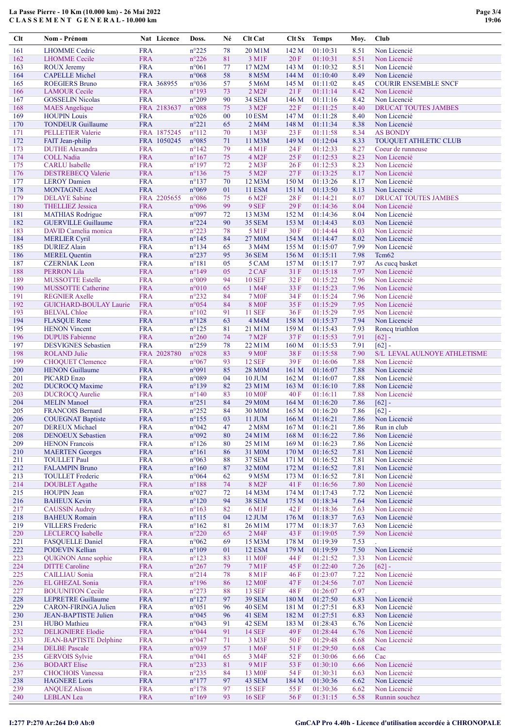| Clt        | Nom - Prénom                                           |                          | Nat Licence | Doss.                            | Né       | <b>Clt Cat</b>               | Clt Sx           | <b>Temps</b>         | Moy.         | <b>Club</b>                                 |
|------------|--------------------------------------------------------|--------------------------|-------------|----------------------------------|----------|------------------------------|------------------|----------------------|--------------|---------------------------------------------|
| 161        | <b>LHOMME</b> Cedric                                   | <b>FRA</b>               |             | $n^{\circ}225$                   | 78       | 20 M1M                       | 142 M            | 01:10:31             | 8.51         | Non Licencié                                |
| 162        | <b>LHOMME</b> Cecile                                   | <b>FRA</b>               |             | $n^{\circ}226$                   | 81       | 3 M1F                        | 20F              | 01:10:31             | 8.51         | Non Licencié                                |
| 163        | <b>ROUX Jeremy</b>                                     | <b>FRA</b>               |             | $n^{\circ}061$                   | 77       | 17 M2M                       | 143 M            | 01:10:32             | 8.51         | Non Licencié                                |
| 164        | <b>CAPELLE Michel</b>                                  | <b>FRA</b>               |             | $n^{\circ}068$                   | 58       | 8 M5M                        | 144 M            | 01:10:40             | 8.49         | Non Licencié                                |
| 165        | <b>ROEGIERS Bruno</b>                                  |                          | FRA 368955  | n°036                            | 57       | 5 M6M                        | 145 M            | 01:11:02             | 8.45         | <b>COURIR ENSEMBLE SNCF</b>                 |
| 166        | <b>LAMOUR Cecile</b>                                   | <b>FRA</b>               |             | $n^{\circ}193$                   | 73       | $2$ M <sub>2</sub> $F$       | 21F              | 01:11:14             | 8.42         | Non Licencié                                |
| 167<br>168 | <b>GOSSELIN Nicolas</b><br><b>MAES</b> Angelique       | <b>FRA</b>               | FRA 2183637 | $n^{\circ}209$<br>$n^{\circ}088$ | 90<br>75 | 34 SEM<br>3 M <sub>2</sub> F | 146 M<br>22F     | 01:11:16<br>01:11:25 | 8.42<br>8.40 | Non Licencié<br><b>DRUCAT TOUTES JAMBES</b> |
| 169        | <b>HOUPIN Louis</b>                                    | <b>FRA</b>               |             | $n^{\circ}026$                   | $00\,$   | <b>10 ESM</b>                | 147 M            | 01:11:28             | 8.40         | Non Licencié                                |
| 170        | <b>TONDEUR Guillaume</b>                               | <b>FRA</b>               |             | $n^{\circ}221$                   | 65       | 2 M4M                        | 148 <sub>M</sub> | 01:11:34             | 8.38         | Non Licencié                                |
| 171        | <b>PELLETIER Valerie</b>                               |                          | FRA 1875245 | $n^{\circ}112$                   | 70       | 1 M3F                        | 23F              | 01:11:58             | 8.34         | <b>AS BONDY</b>                             |
| 172        | FAIT Jean-philip                                       |                          | FRA 1050245 | $n^{\circ}085$                   | 71       | 11 M3M                       | 149 M            | 01:12:04             | 8.33         | <b>TOUQUET ATHLETIC CLUB</b>                |
| 173        | <b>DUTHE Alexandra</b>                                 | <b>FRA</b>               |             | $n^{\circ}142$                   | 79       | 4 M1F                        | 24 F             | 01:12:33             | 8.27         | Coeur de runneuse                           |
| 174        | <b>COLL Nadia</b>                                      | <b>FRA</b>               |             | $n^{\circ}167$                   | 75       | 4 M <sub>2F</sub>            | 25 F             | 01:12:53             | 8.23         | Non Licencié                                |
| 175        | <b>CARLU</b> Isabelle                                  | <b>FRA</b>               |             | $n^{\circ}197$                   | 72       | $2$ M $3F$                   | 26F              | 01:12:53             | 8.23         | Non Licencié                                |
| 176        | <b>DESTREBECQ Valerie</b>                              | <b>FRA</b>               |             | $n^{\circ}136$                   | 75       | 5 M2F                        | 27F              | 01:13:25             | 8.17         | Non Licencié                                |
| 177        | <b>LEROY</b> Damien                                    | <b>FRA</b>               |             | $n^{\circ}137$                   | 70       | 12 M3M                       | 150 M            | 01:13:26             | 8.17         | Non Licencié                                |
| 178        | <b>MONTAGNE Axel</b>                                   | <b>FRA</b>               |             | n°069                            | 01       | <b>11 ESM</b>                | 151 M<br>28 F    | 01:13:50             | 8.13         | Non Licencié                                |
| 179<br>180 | <b>DELAYE</b> Sabine<br><b>THELLIEZ Jessica</b>        | <b>FRA</b>               | FRA 2205655 | n°086<br>n°096                   | 75<br>99 | 6 M <sub>2</sub> F<br>9 SEF  | 29F              | 01:14:21<br>01:14:36 | 8.07<br>8.04 | DRUCAT TOUTES JAMBES<br>Non Licencié        |
| 181        | <b>MATHIAS Rodrigue</b>                                | <b>FRA</b>               |             | n°097                            | 72       | 13 M3M                       | 152 M            | 01:14:36             | 8.04         | Non Licencié                                |
| 182        | <b>GUERVILLE Guillaume</b>                             | <b>FRA</b>               |             | $n^{\circ}224$                   | 90       | <b>35 SEM</b>                | 153 M            | 01:14:43             | 8.03         | Non Licencié                                |
| 183        | DAVID Camelia monica                                   | <b>FRA</b>               |             | $n^{\circ}223$                   | 78       | 5 M1F                        | 30 F             | 01:14:44             | 8.03         | Non Licencié                                |
| 184        | <b>MERLIER Cyril</b>                                   | <b>FRA</b>               |             | $n^{\circ}145$                   | 84       | 27 M0M                       | 154 M            | 01:14:47             | 8.02         | Non Licencié                                |
| 185        | <b>DURIEZ Alain</b>                                    | <b>FRA</b>               |             | $n^{\circ}134$                   | 65       | 3 M4M                        | 155 M            | 01:15:07             | 7.99         | Non Licencié                                |
| 186        | <b>MEREL</b> Quentin                                   | <b>FRA</b>               |             | $n^{\circ}237$                   | 95       | <b>36 SEM</b>                | 156 M            | 01:15:11             | 7.98         | Tcm <sub>62</sub>                           |
| 187        | <b>CZERNIAK</b> Leon                                   | <b>FRA</b>               |             | $n^{\circ}181$                   | 05       | 5 CAM                        | 157M             | 01:15:17             | 7.97         | As cucq basket                              |
| 188        | PERRON Lila                                            | <b>FRA</b>               |             | $n^{\circ}149$                   | 05       | 2 CAF                        | 31 F             | 01:15:18             | 7.97         | Non Licencié                                |
| 189        | <b>MUSSOTTE Estelle</b>                                | <b>FRA</b>               |             | n°009                            | 94       | <b>10 SEF</b>                | 32F              | 01:15:22             | 7.96         | Non Licencié                                |
| 190        | <b>MUSSOTTE Catherine</b>                              | <b>FRA</b>               |             | $n^{\circ}010$                   | 65       | 1 M4F                        | 33 F             | 01:15:23             | 7.96         | Non Licencié                                |
| 191<br>192 | <b>REGNIER Axelle</b><br><b>GUICHARD-BOULAY Laurie</b> | <b>FRA</b><br><b>FRA</b> |             | $n^{\circ}232$<br>$n^{\circ}054$ | 84<br>84 | <b>7 M0F</b><br><b>8 MOF</b> | 34 F<br>35 F     | 01:15:24<br>01:15:29 | 7.96<br>7.95 | Non Licencié<br>Non Licencié                |
| 193        | <b>BELVAL Chloe</b>                                    | <b>FRA</b>               |             | $n^{\circ}102$                   | 91       | <b>11 SEF</b>                | 36 F             | 01:15:29             | 7.95         | Non Licencié                                |
| 194        | <b>FLASQUE Rene</b>                                    | <b>FRA</b>               |             | $n^{\circ}128$                   | 63       | 4 M4M                        | 158 M            | 01:15:37             | 7.94         | Non Licencié                                |
| 195        | <b>HENON Vincent</b>                                   | <b>FRA</b>               |             | $n^{\circ}125$                   | 81       | 21 M1M                       | 159 M            | 01:15:43             | 7.93         | Roncq triathlon                             |
| 196        | <b>DUPUIS Fabienne</b>                                 | <b>FRA</b>               |             | $n^{\circ}260$                   | 74       | 7 M <sub>2</sub> F           | 37F              | 01:15:53             | 7.91         | $[62] -$                                    |
| 197        | <b>DESVIGNES</b> Sebastien                             | <b>FRA</b>               |             | $n^{\circ}259$                   | 78       | 22 M1M                       | 160 M            | 01:15:53             | 7.91         | $[62] -$                                    |
| 198        | <b>ROLAND</b> Julie                                    |                          | FRA 2028780 | n°028                            | 83       | <b>9 M0F</b>                 | 38 F             | 01:15:58             | 7.90         | S/L LEVAL AULNOYE ATHLETISME                |
| 199        | <b>CHOQUET Clemence</b>                                | <b>FRA</b>               |             | $n^{\circ}067$                   | 93       | <b>12 SEF</b>                | 39F              | 01:16:06             | 7.88         | Non Licencié                                |
| 200        | <b>HENON</b> Guillaume                                 | <b>FRA</b>               |             | n°091                            | 85       | <b>28 M0M</b>                | 161 M            | 01:16:07             | 7.88         | Non Licencié                                |
| 201        | <b>PICARD Enzo</b>                                     | <b>FRA</b>               |             | n°089                            | 04       | 10 JUM                       | 162 M            | 01:16:07             | 7.88         | Non Licencié                                |
| 202<br>203 | <b>DUCROCQ Maxime</b><br><b>DUCROCQ Aurelie</b>        | <b>FRA</b><br><b>FRA</b> |             | $n^{\circ}139$<br>$n^{\circ}140$ | 82<br>83 | 23 M1M<br>10 M <sub>OF</sub> | 163 M<br>40 F    | 01:16:10<br>01:16:11 | 7.88<br>7.88 | Non Licencié<br>Non Licencié                |
| 204        | <b>MELIN</b> Manoel                                    | <b>FRA</b>               |             | $n^{\circ}251$                   | 84       | 29 M <sub>0</sub> M          | 164 M            | 01:16:20             | 7.86         | $[62] -$                                    |
| 205        | <b>FRANCOIS Bernard</b>                                | <b>FRA</b>               |             | $n^{\circ}252$                   | 84       | 30 M <sub>0</sub> M          | 165 <sub>M</sub> | 01:16:20             | 7.86         | $[62] -$                                    |
| 206        | <b>COUEGNAT Baptiste</b>                               | <b>FRA</b>               |             | $n^{\circ}155$                   | 03       | 11 JUM                       | 166 M            | 01:16:21             | 7.86         | Non Licencié                                |
| 207        | <b>DEREUX</b> Michael                                  | <b>FRA</b>               |             | $n^{\circ}042$                   | 47       | 2 M8M                        | 167 <sub>M</sub> | 01:16:21             | 7.86         | Run in club                                 |
| 208        | <b>DENOEUX Sebastien</b>                               | <b>FRA</b>               |             | n°092                            | 80       | 24 M1M                       | 168 M            | 01:16:22             | 7.86         | Non Licencié                                |
| 209        | <b>HENON Francois</b>                                  | <b>FRA</b>               |             | $n^{\circ}126$                   | 80       | 25 M1M                       | 169 M            | 01:16:23             | 7.86         | Non Licencié                                |
| 210        | <b>MAERTEN Georges</b>                                 | <b>FRA</b>               |             | $n^{\circ}161$                   | 86       | 31 M0M                       | 170 M            | 01:16:52             | 7.81         | Non Licencié                                |
| 211        | <b>TOULLET Paul</b>                                    | <b>FRA</b>               |             | $n^{\circ}063$                   | 88       | <b>37 SEM</b>                | 171M             | 01:16:52             | 7.81         | Non Licencié                                |
| 212<br>213 | <b>FALAMPIN Bruno</b><br><b>TOULLET</b> Frederic       | <b>FRA</b><br><b>FRA</b> |             | $n^{\circ}160$                   | 87       | 32 M0M<br>9 M5M              | 172 M            | 01:16:52             | 7.81         | Non Licencié<br>Non Licencié                |
| 214        | <b>DOUBLET</b> Agathe                                  | <b>FRA</b>               |             | $n^{\circ}064$<br>$n^{\circ}188$ | 62<br>74 | 8 M2F                        | 173 M<br>41 F    | 01:16:52<br>01:16:56 | 7.81<br>7.80 | Non Licencié                                |
| 215        | <b>HOUPIN Jean</b>                                     | <b>FRA</b>               |             | $n^{\circ}027$                   | 72       | 14 M3M                       | 174 M            | 01:17:43             | 7.72         | Non Licencié                                |
| 216        | <b>BAHEUX Kevin</b>                                    | <b>FRA</b>               |             | $n^{\circ}120$                   | 94       | <b>38 SEM</b>                | 175 M            | 01:18:34             | 7.64         | Non Licencié                                |
| 217        | <b>CAUSSIN Audrey</b>                                  | <b>FRA</b>               |             | $n^{\circ}163$                   | 82       | 6 M1F                        | 42 F             | 01:18:36             | 7.63         | Non Licencié                                |
| 218        | <b>BAHEUX Romain</b>                                   | <b>FRA</b>               |             | $n^{\circ}115$                   | 04       | 12 JUM                       | 176M             | 01:18:37             | 7.63         | Non Licencié                                |
| 219        | <b>VILLERS</b> Frederic                                | <b>FRA</b>               |             | $n^{\circ}162$                   | 81       | 26 M1M                       | 177M             | 01:18:37             | 7.63         | Non Licencié                                |
| 220        | LECLERCQ Isabelle                                      | <b>FRA</b>               |             | $n^{\circ}220$                   | 65       | 2 M4F                        | 43 F             | 01:19:05             | 7.59         | Non Licencié                                |
| 221        | <b>FASQUELLE Daniel</b>                                | <b>FRA</b>               |             | $n^{\circ}062$                   | 69       | 15 M3M                       | 178 M            | 01:19:39             | 7.53         |                                             |
| 222<br>223 | PODEVIN Kellian<br><b>QUIGNON</b> Anne sophie          | <b>FRA</b>               |             | $n^{\circ}109$                   | 01       | <b>12 ESM</b>                | 179 M<br>44 F    | 01:19:59             | 7.50<br>7.33 | Non Licencié<br>Non Licencié                |
| 224        | <b>DITTE</b> Caroline                                  | <b>FRA</b><br><b>FRA</b> |             | $n^{\circ}123$<br>$n^{\circ}267$ | 83<br>79 | 11 M <sub>OF</sub><br>7 M1F  | 45 F             | 01:21:52<br>01:22:40 | 7.26         | $[62] -$                                    |
| 225        | <b>CAILLIAU</b> Sonia                                  | <b>FRA</b>               |             | $n^{\circ}214$                   | 78       | 8 M1F                        | 46 F             | 01:23:07             | 7.22         | Non Licencié                                |
| 226        | EL GHEZAL Sonia                                        | <b>FRA</b>               |             | $n^{\circ}196$                   | 86       | 12 M <sub>OF</sub>           | 47 F             | 01:24:56             | 7.07         | Non Licencié                                |
| 227        | <b>BOUUNITON Cecile</b>                                | <b>FRA</b>               |             | $n^{\circ}273$                   | 88       | <b>13 SEF</b>                | 48 F             | 01:26:07             | 6.97         |                                             |
| 228        | <b>LEPRETRE Guillaume</b>                              | <b>FRA</b>               |             | $n^{\circ}127$                   | 97       | <b>39 SEM</b>                | 180 M            | 01:27:50             | 6.83         | Non Licencié                                |
| 229        | <b>CARON-FIRINGA Julien</b>                            | <b>FRA</b>               |             | $n^{\circ}051$                   | 96       | 40 SEM                       | 181 M            | 01:27:51             | 6.83         | Non Licencié                                |
| 230        | <b>JEAN-BAPTISTE Julien</b>                            | <b>FRA</b>               |             | $n^{\circ}045$                   | 96       | 41 SEM                       | 182 M            | 01:27:51             | 6.83         | Non Licencié                                |
| 231        | <b>HUBO</b> Mathieu                                    | <b>FRA</b>               |             | n°043                            | 91       | 42 SEM                       | 183 M            | 01:28:43             | 6.76         | Non Licencié                                |
| 232        | <b>DELIGNIERE Elodie</b>                               | <b>FRA</b>               |             | n°044                            | 91       | <b>14 SEF</b>                | 49 F             | 01:28:44             | 6.76         | Non Licencié                                |
| 233<br>234 | <b>JEAN-BAPTISTE Delphine</b><br><b>DELBE</b> Pascale  | <b>FRA</b><br><b>FRA</b> |             | $n^{\circ}047$<br>n°039          | 71<br>57 | 3 M3F<br>1 M6F               | 50 F<br>51 F     | 01:29:48<br>01:29:50 | 6.68<br>6.68 | Non Licencié<br>Cac                         |
| 235        | <b>GERVOIS Sylvie</b>                                  | <b>FRA</b>               |             | $n^{\circ}041$                   | 65       | 3 M4F                        | 52 F             | 01:30:06             | 6.66         | Cac                                         |
| 236        | <b>BODART Elise</b>                                    | <b>FRA</b>               |             | $n^{\circ}233$                   | 81       | 9 M1F                        | 53 F             | 01:30:10             | 6.66         | Non Licencié                                |
| 237        | <b>CHOCHOIS Vanessa</b>                                | <b>FRA</b>               |             | $n^{\circ}235$                   | 84       | 13 M <sub>OF</sub>           | 54 F             | 01:30:31             | 6.63         | Non Licencié                                |
| 238        | <b>HAGNERE</b> Loris                                   | <b>FRA</b>               |             | $n^{\circ}177$                   | 97       | 43 SEM                       | 184 M            | 01:30:36             | 6.62         | Non Licencié                                |
| 239        | <b>ANQUEZ Alison</b>                                   | <b>FRA</b>               |             | $n^{\circ}178$                   | 97       | <b>15 SEF</b>                | 55 F             | 01:30:36             | 6.62         | Non Licencié                                |
| 240        | <b>LEBLAN</b> Lea                                      | <b>FRA</b>               |             | $n^{\circ}169$                   | 93       | <b>16 SEF</b>                | 56 F             | 01:31:15             | 6.58         | Runnin souchez                              |

## I:277 P:270 Ar:264 D:0 Ab:0 GmCAP Pro 4.40h - Licence d'utilisation accordée à CHRONOPALE